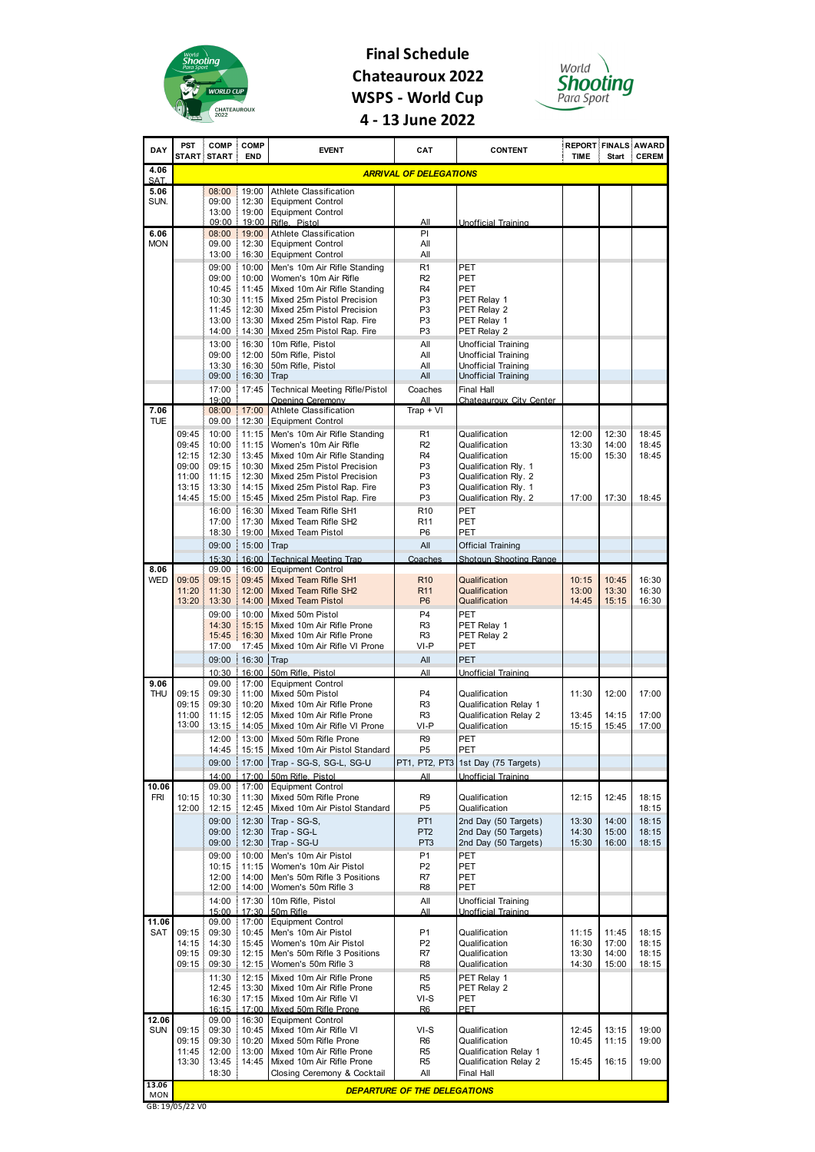

## **Final Schedule Chateauroux 2022 WSPS - World Cup 4 - 13 June 2022**



| DAY                | PST            | <b>COMP</b><br>START START | <b>COMP</b><br><b>END</b> | <b>EVENT</b>                                                      | <b>CAT</b>                          | <b>CONTENT</b>                                           | <b>REPORT FINALS AWARD</b><br><b>TIME</b> | <b>Start</b>   | <b>CEREM</b>   |
|--------------------|----------------|----------------------------|---------------------------|-------------------------------------------------------------------|-------------------------------------|----------------------------------------------------------|-------------------------------------------|----------------|----------------|
| 4.06               |                |                            |                           |                                                                   | <b>ARRIVAL OF DELEGATIONS</b>       |                                                          |                                           |                |                |
| SAT.<br>5.06       |                | 08:00                      | 19:00                     | <b>Athlete Classification</b>                                     |                                     |                                                          |                                           |                |                |
| SUN.               |                | 09:00<br>13:00             | 12:30<br>ł<br>19:00       | <b>Equipment Control</b><br><b>Equipment Control</b>              |                                     |                                                          |                                           |                |                |
| 6.06               |                | 09:00<br>08:00             | 19:00<br>19:00            | Rifle, Pistol<br>Athlete Classification                           | All<br>PI                           | Unofficial Training                                      |                                           |                |                |
| <b>MON</b>         |                | 09.00<br>13:00             | 12:30<br>16:30            | <b>Equipment Control</b><br><b>Equipment Control</b>              | All<br>All                          |                                                          |                                           |                |                |
|                    |                | 09:00                      | 10:00                     | Men's 10m Air Rifle Standing                                      | R <sub>1</sub>                      | PET                                                      |                                           |                |                |
|                    |                | 09:00                      | 10:00                     | Women's 10m Air Rifle                                             | R <sub>2</sub>                      | PET                                                      |                                           |                |                |
|                    |                | 10:45<br>10:30             | 11:45<br>11:15            | Mixed 10m Air Rifle Standing<br>Mixed 25m Pistol Precision        | R4<br>P3                            | PET<br>PET Relay 1                                       |                                           |                |                |
|                    |                | 11:45                      | ş<br>12:30                | Mixed 25m Pistol Precision                                        | P <sub>3</sub>                      | PET Relay 2                                              |                                           |                |                |
|                    |                | 13:00<br>14:00             | 13:30<br>14:30            | Mixed 25m Pistol Rap. Fire<br>Mixed 25m Pistol Rap. Fire          | P3<br>P3                            | PET Relay 1<br>PET Relay 2                               |                                           |                |                |
|                    |                | 13:00                      | 16:30                     | 10m Rifle, Pistol                                                 | All                                 | <b>Unofficial Training</b>                               |                                           |                |                |
|                    |                | 09:00                      | 12:00                     | 50m Rifle, Pistol                                                 | All                                 | Unofficial Training                                      |                                           |                |                |
|                    |                | 13:30<br>09:00             | 16:30<br>16:30            | 50m Rifle, Pistol<br>Trap                                         | All<br>All                          | <b>Unofficial Training</b><br><b>Unofficial Training</b> |                                           |                |                |
|                    |                | 17:00                      | 17:45                     | <b>Technical Meeting Rifle/Pistol</b>                             | Coaches                             | <b>Final Hall</b>                                        |                                           |                |                |
|                    |                | 19:00                      |                           | Opening Ceremony                                                  | All                                 | Chateauroux City Center                                  |                                           |                |                |
| 7.06<br><b>TUE</b> |                | 08:00<br>09.00             | 17:00<br>12:30            | Athlete Classification<br><b>Equipment Control</b>                | $Trap + VI$                         |                                                          |                                           |                |                |
|                    | 09:45          | 10:00                      | 11:15                     | Men's 10m Air Rifle Standing                                      | R <sub>1</sub>                      | Qualification                                            | 12:00                                     | 12:30          | 18:45          |
|                    | 09:45          | 10:00                      | 11:15                     | Women's 10m Air Rifle                                             | R <sub>2</sub>                      | Qualification                                            | 13:30                                     | 14:00          | 18:45          |
|                    | 12:15<br>09:00 | 12:30<br>09:15             | 13:45<br>ĵ.<br>10:30      | Mixed 10m Air Rifle Standing<br>Mixed 25m Pistol Precision        | R <sub>4</sub><br>P <sub>3</sub>    | Qualification<br>Qualification Rly. 1                    | 15:00                                     | 15:30          | 18:45          |
|                    | 11:00          | 11:15                      | 12:30<br>Ĩ,               | Mixed 25m Pistol Precision                                        | P3                                  | Qualification Rly. 2                                     |                                           |                |                |
|                    | 13:15<br>14:45 | 13:30                      | 14:15<br>15:45            | Mixed 25m Pistol Rap. Fire<br>Mixed 25m Pistol Rap. Fire          | P3<br>P <sub>3</sub>                | Qualification Rly. 1<br>Qualification Rly. 2             | 17:00                                     | 17:30          | 18:45          |
|                    |                | 15:00<br>16:00             | 16:30                     | Mixed Team Rifle SH1                                              | R <sub>10</sub>                     | PET                                                      |                                           |                |                |
|                    |                | 17:00                      | 17:30                     | Mixed Team Rifle SH2                                              | R <sub>11</sub>                     | <b>PET</b>                                               |                                           |                |                |
|                    |                | 18:30                      | 19:00                     | <b>Mixed Team Pistol</b>                                          | P <sub>6</sub>                      | PET                                                      |                                           |                |                |
|                    |                | 09:00                      | 15:00<br>ĵ.               | Trap                                                              | All                                 | <b>Official Training</b>                                 |                                           |                |                |
| 8.06               |                | 15:30<br>09.00             | 16:00<br>16:00            | <b>Technical Meeting Trap</b><br><b>Equipment Control</b>         | Coaches                             | Shotaun Shooting Range                                   |                                           |                |                |
| WED                | 09:05          | 09:15                      | 09:45                     | Mixed Team Rifle SH1                                              | R <sub>10</sub>                     | Qualification                                            | 10:15                                     | 10:45          | 16:30          |
|                    | 11:20<br>13:20 | 11:30<br>13:30             | 12:00<br>14:00            | Mixed Team Rifle SH2<br><b>Mixed Team Pistol</b>                  | R <sub>11</sub><br>P <sub>6</sub>   | Qualification<br>Qualification                           | 13:00<br>14:45                            | 13:30<br>15:15 | 16:30<br>16:30 |
|                    |                | 09:00                      | 10:00                     | Mixed 50m Pistol                                                  | P <sub>4</sub>                      | PET                                                      |                                           |                |                |
|                    |                | 14:30                      | 15:15                     | Mixed 10m Air Rifle Prone                                         | R <sub>3</sub>                      | PET Relay 1                                              |                                           |                |                |
|                    |                | 15:45<br>17:00             | 16:30<br>17:45            | Mixed 10m Air Rifle Prone<br>Mixed 10m Air Rifle VI Prone         | R3<br>VI-P                          | PET Relay 2<br>PET                                       |                                           |                |                |
|                    |                | 09:00                      | 16:30                     | Trap                                                              | All                                 | <b>PET</b>                                               |                                           |                |                |
|                    |                | 10:30                      | 16:00                     | 50m Rifle, Pistol                                                 | All                                 | Unofficial Training                                      |                                           |                |                |
| 9.06<br><b>THU</b> | 09:15          | 09.00<br>09:30             | 17:00<br>11:00<br>ŧ.      | <b>Equipment Control</b><br>Mixed 50m Pistol                      | P4                                  | Qualification                                            | 11:30                                     | 12:00          | 17:00          |
|                    | 09:15          | 09:30                      | 10:20                     | Mixed 10m Air Rifle Prone                                         | R <sub>3</sub>                      | <b>Qualification Relay 1</b>                             |                                           |                |                |
|                    | 11:00          | 11:15                      | 12:05                     | Mixed 10m Air Rifle Prone                                         | R <sub>3</sub>                      | <b>Qualification Relay 2</b>                             | 13:45                                     | 14:15          | 17:00          |
|                    | 13:00          | 13:15<br>12:00<br>÷        |                           | 14:05 Mixed 10m Air Rifle VI Prone<br>13:00 Mixed 50m Rifle Prone | VI-P<br>R <sub>9</sub>              | Qualification<br>PET                                     | 15:15                                     | 15:45          | 17:00          |
|                    |                | 14:45                      |                           | 15:15 Mixed 10m Air Pistol Standard                               | P5                                  | PET                                                      |                                           |                |                |
|                    |                | 09:00                      | 17:00<br>ł.               | Trap - SG-S, SG-L, SG-U                                           | PT1, PT2, PT3                       | 1st Day (75 Targets)                                     |                                           |                |                |
|                    |                | 14:00                      | 17:00<br>ř.               | 50m Rifle, Pistol                                                 | All                                 | Unofficial Training                                      |                                           |                |                |
| 10.06<br>FRI       | 10:15          | 09.00<br>10:30             | 17:00<br>11:30            | <b>Equipment Control</b><br>Mixed 50m Rifle Prone                 | R9                                  | Qualification                                            | 12:15                                     | 12:45          | 18:15          |
|                    | 12:00          | 12:15                      | 12:45<br>ł.               | Mixed 10m Air Pistol Standard                                     | P5                                  | Qualification                                            |                                           |                | 18:15          |
|                    |                | 09:00<br>09:00             | 12:30<br>12:30            | Trap - SG-S,<br>Trap - SG-L                                       | PT <sub>1</sub><br>P <sub>T2</sub>  | 2nd Day (50 Targets)<br>2nd Day (50 Targets)             | 13:30<br>14:30                            | 14:00<br>15:00 | 18:15<br>18:15 |
|                    |                | 09:00                      | 12:30                     | Trap - SG-U                                                       | PT <sub>3</sub>                     | 2nd Day (50 Targets)                                     | 15:30                                     | 16:00          | 18:15          |
|                    |                | 09:00                      | 10:00                     | Men's 10m Air Pistol                                              | P <sub>1</sub>                      | PET                                                      |                                           |                |                |
|                    |                | 10:15<br>12:00             | 11:15<br>14:00            | Women's 10m Air Pistol<br>Men's 50m Rifle 3 Positions             | P <sub>2</sub><br>R7                | PET<br>PET                                               |                                           |                |                |
|                    |                | 12:00                      | 14:00                     | Women's 50m Rifle 3                                               | R <sub>8</sub>                      | PET                                                      |                                           |                |                |
|                    |                | 14:00                      | 17:30                     | 10m Rifle, Pistol                                                 | All                                 | <b>Unofficial Training</b>                               |                                           |                |                |
| 11.06              |                | 15:00<br>09.00             | 17:30<br>17:00            | 50m Rifle<br><b>Equipment Control</b>                             | All                                 | <b>Unofficial Training</b>                               |                                           |                |                |
| SAT                | 09:15          | 09:30                      | 10:45                     | Men's 10m Air Pistol                                              | P <sub>1</sub>                      | Qualification                                            | 11:15                                     | 11:45          | 18:15          |
|                    | 14:15          | 14:30                      | 15:45                     | Women's 10m Air Pistol                                            | P <sub>2</sub>                      | Qualification                                            | 16:30<br>13:30                            | 17:00          | 18:15<br>18:15 |
|                    | 09:15<br>09:15 | 09:30<br>09:30             | 12:15<br>12:15<br>ł       | Men's 50m Rifle 3 Positions<br>Women's 50m Rifle 3                | R7<br>R8                            | Qualification<br>Qualification                           | 14:30                                     | 14:00<br>15:00 | 18:15          |
|                    |                | 11:30                      | 12:15                     | Mixed 10m Air Rifle Prone                                         | R <sub>5</sub>                      | PET Relay 1                                              |                                           |                |                |
|                    |                | 12:45                      | 13:30                     | Mixed 10m Air Rifle Prone                                         | R5                                  | PET Relay 2                                              |                                           |                |                |
|                    |                | 16:30<br>16:15             | 17:15<br>17:00            | Mixed 10m Air Rifle VI<br>Mixed 50m Rifle Prone                   | VI-S<br>R <sub>6</sub>              | PET<br><b>PET</b>                                        |                                           |                |                |
| 12.06              |                | 09.00                      | 16:30                     | <b>Equipment Control</b>                                          |                                     |                                                          |                                           |                |                |
| <b>SUN</b>         | 09:15<br>09:15 | 09:30<br>09:30             | 10:45<br>10:20            | Mixed 10m Air Rifle VI<br>Mixed 50m Rifle Prone                   | $VI-S$<br>R <sub>6</sub>            | Qualification<br>Qualification                           | 12:45<br>10:45                            | 13:15<br>11:15 | 19:00<br>19:00 |
|                    | 11:45          | 12:00                      | 13:00                     | Mixed 10m Air Rifle Prone                                         | R <sub>5</sub>                      | Qualification Relay 1                                    |                                           |                |                |
|                    |                | 13:30 13:45<br>18:30       | 14:45                     | Mixed 10m Air Rifle Prone<br>Closing Ceremony & Cocktail          | R <sub>5</sub><br>All               | Qualification Relay 2<br>Final Hall                      | 15:45                                     | 16:15          | 19:00          |
| 13.06              |                |                            |                           |                                                                   |                                     |                                                          |                                           |                |                |
| <b>MON</b>         |                |                            |                           |                                                                   | <b>DEPARTURE OF THE DELEGATIONS</b> |                                                          |                                           |                |                |

GB: 19/05/22 V0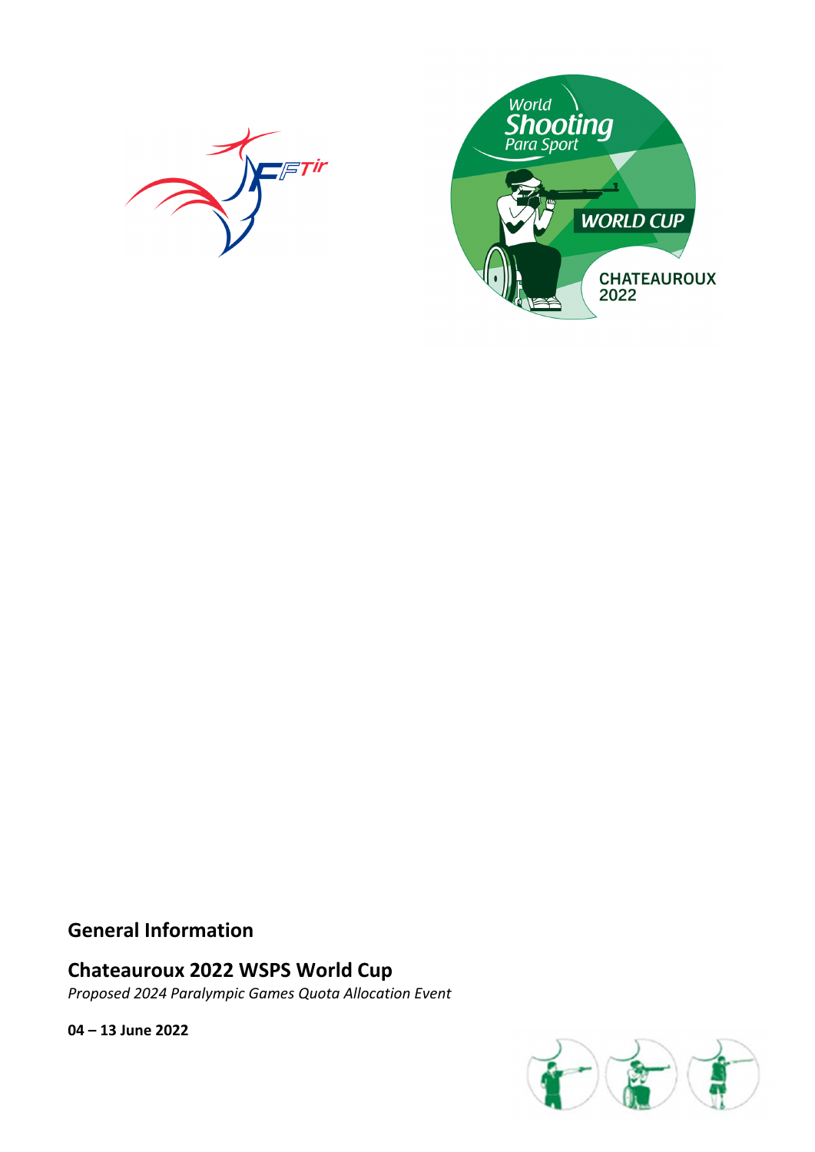



## **General Information**

# **Chateauroux 2022 WSPS World Cup**

*Proposed 2024 Paralympic Games Quota Allocation Event* 

**04 – 13 June 2022**

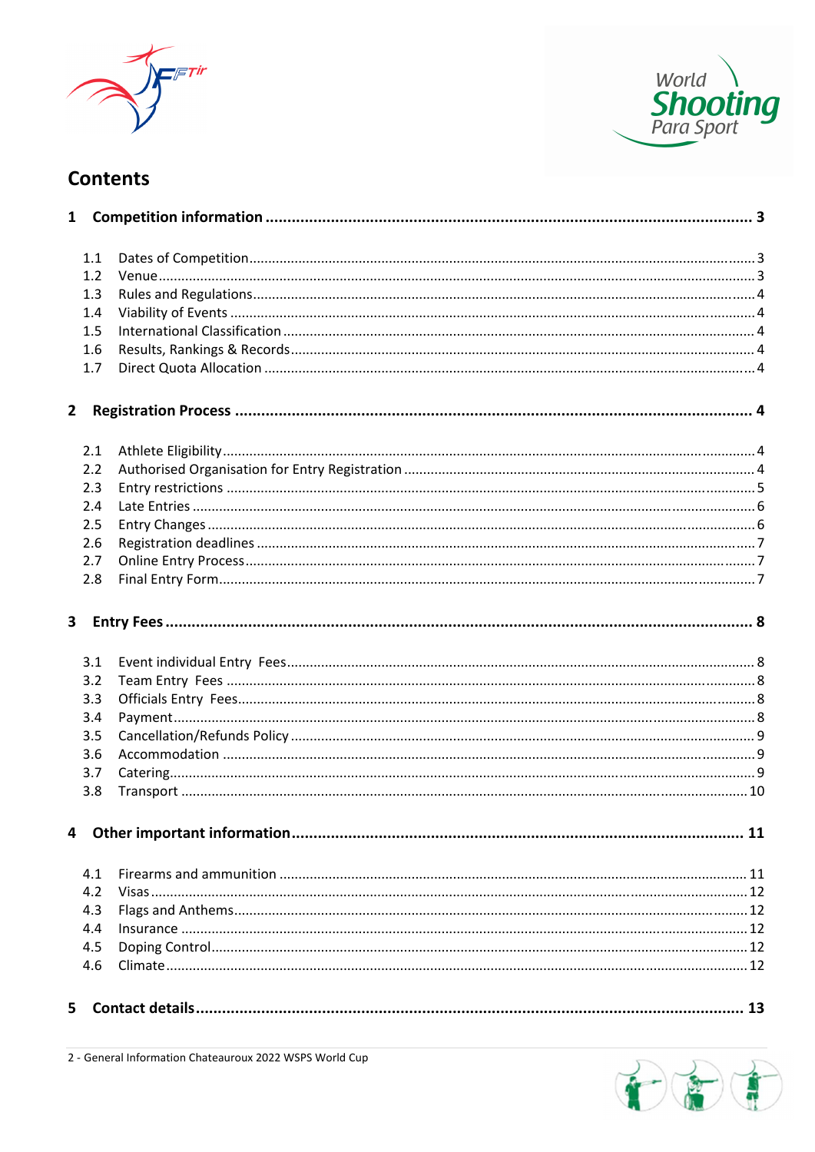



# **Contents**

| $\mathbf{1}$ |     |  |
|--------------|-----|--|
|              | 1.1 |  |
|              | 1.2 |  |
|              | 1.3 |  |
|              | 1.4 |  |
|              | 1.5 |  |
|              | 1.6 |  |
|              | 1.7 |  |
| 2            |     |  |
|              | 2.1 |  |
|              | 2.2 |  |
|              | 2.3 |  |
|              | 2.4 |  |
|              | 2.5 |  |
|              | 2.6 |  |
|              | 2.7 |  |
|              | 2.8 |  |
| 3            |     |  |
|              | 3.1 |  |
|              | 3.2 |  |
|              | 3.3 |  |
|              | 3.4 |  |
|              | 3.5 |  |
|              | 3.6 |  |
|              | 3.7 |  |
|              | 3.8 |  |
| 4            |     |  |
|              | 4.1 |  |
|              | 4.2 |  |
|              | 4.3 |  |
|              | 4.4 |  |
|              | 4.5 |  |
|              | 4.6 |  |
| 5            |     |  |

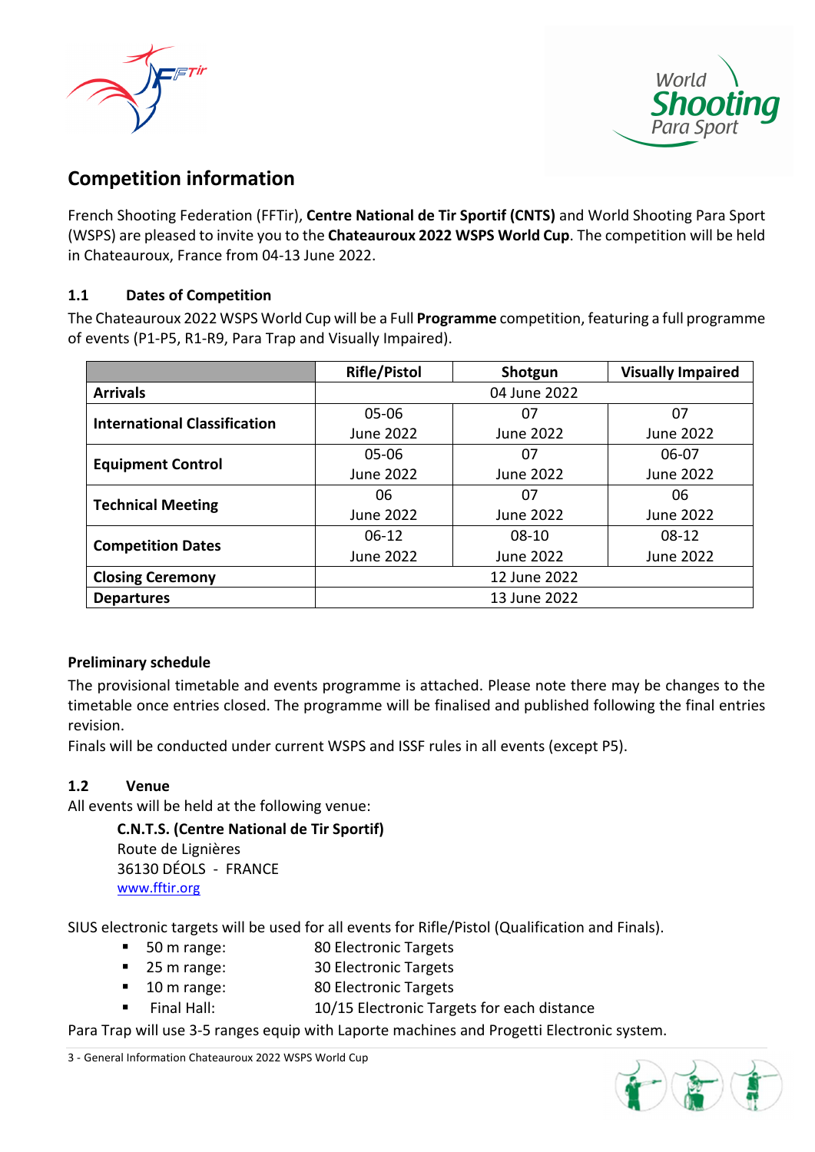



# **Competition information**

French Shooting Federation (FFTir), **Centre National de Tir Sportif (CNTS)** and World Shooting Para Sport (WSPS) are pleased to invite you to the **Chateauroux 2022 WSPS World Cup**. The competition will be held in Chateauroux, France from 04‐13 June 2022.

## **1.1 Dates of Competition**

The Chateauroux 2022 WSPS World Cup will be a Full **Programme** competition, featuring a full programme of events (P1‐P5, R1‐R9, Para Trap and Visually Impaired).

|                                     | <b>Rifle/Pistol</b> | Shotgun      | <b>Visually Impaired</b> |  |
|-------------------------------------|---------------------|--------------|--------------------------|--|
| <b>Arrivals</b>                     |                     | 04 June 2022 |                          |  |
| <b>International Classification</b> | $05 - 06$           | 07           | 07                       |  |
|                                     | June 2022           | June 2022    | June 2022                |  |
| <b>Equipment Control</b>            | 05-06               | 07           | 06-07                    |  |
|                                     | June 2022           | June 2022    | June 2022                |  |
| <b>Technical Meeting</b>            | 06                  | 07           | 06                       |  |
|                                     | June 2022           | June 2022    | June 2022                |  |
|                                     | $06-12$             | $08-10$      | $08-12$                  |  |
| <b>Competition Dates</b>            | June 2022           | June 2022    | June 2022                |  |
| <b>Closing Ceremony</b>             | 12 June 2022        |              |                          |  |
| <b>Departures</b>                   | 13 June 2022        |              |                          |  |

### **Preliminary schedule**

The provisional timetable and events programme is attached. Please note there may be changes to the timetable once entries closed. The programme will be finalised and published following the final entries revision.

Finals will be conducted under current WSPS and ISSF rules in all events (except P5).

### **1.2 Venue**

All events will be held at the following venue:

**C.N.T.S. (Centre National de Tir Sportif)** Route de Lignières 36130 DÉOLS ‐ FRANCE www.fftir.org

SIUS electronic targets will be used for all events for Rifle/Pistol (Qualification and Finals).

- 50 m range: 80 Electronic Targets
- 25 m range: 30 Electronic Targets
- 10 m range: 80 Electronic Targets
	- Final Hall: 10/15 Electronic Targets for each distance

Para Trap will use 3‐5 ranges equip with Laporte machines and Progetti Electronic system.

3 ‐ General Information Chateauroux 2022 WSPS World Cup

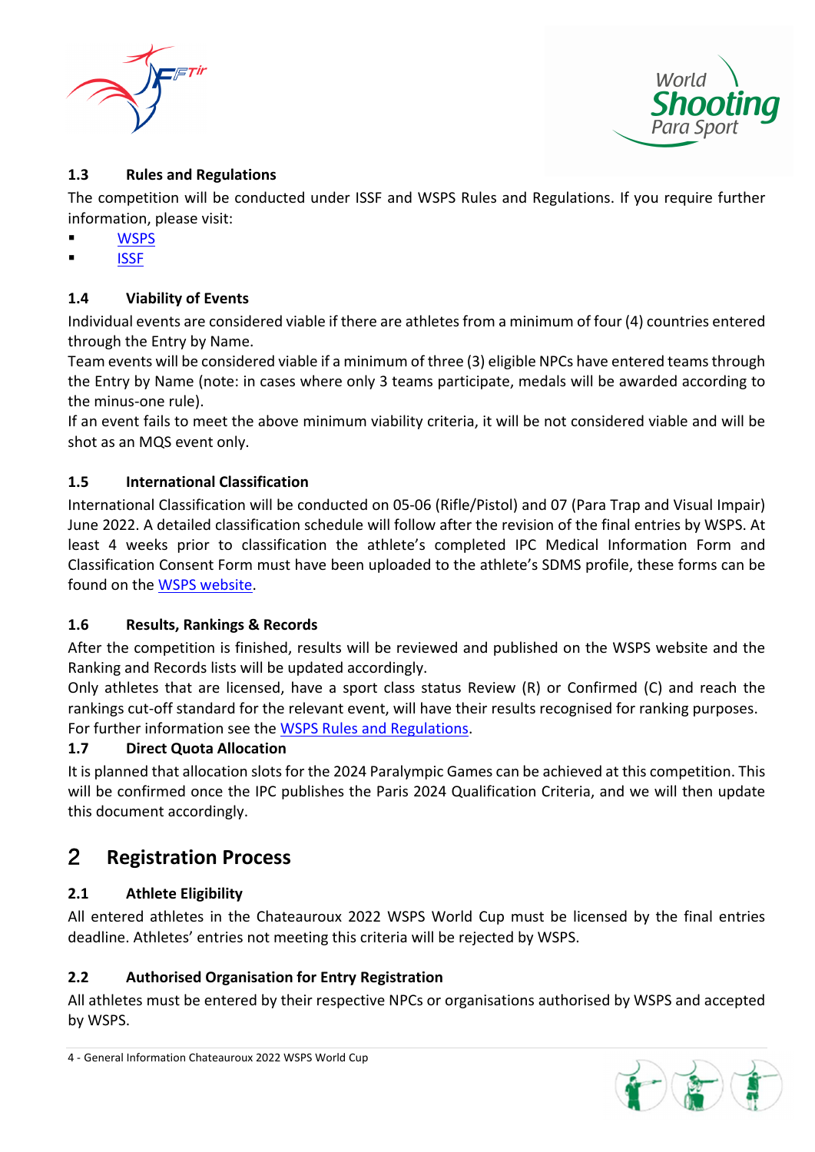



## **1.3 Rules and Regulations**

The competition will be conducted under ISSF and WSPS Rules and Regulations. If you require further information, please visit:

- **WSPS**
- **ISSF**

## **1.4 Viability of Events**

Individual events are considered viable if there are athletesfrom a minimum of four (4) countries entered through the Entry by Name.

Team events will be considered viable if a minimum of three (3) eligible NPCs have entered teamsthrough the Entry by Name (note: in cases where only 3 teams participate, medals will be awarded according to the minus‐one rule).

If an event fails to meet the above minimum viability criteria, it will be not considered viable and will be shot as an MQS event only.

### **1.5 International Classification**

International Classification will be conducted on 05‐06 (Rifle/Pistol) and 07 (Para Trap and Visual Impair) June 2022. A detailed classification schedule will follow after the revision of the final entries by WSPS. At least 4 weeks prior to classification the athlete's completed IPC Medical Information Form and Classification Consent Form must have been uploaded to the athlete's SDMS profile, these forms can be found on the WSPS website.

### **1.6 Results, Rankings & Records**

After the competition is finished, results will be reviewed and published on the WSPS website and the Ranking and Records lists will be updated accordingly.

Only athletes that are licensed, have a sport class status Review (R) or Confirmed (C) and reach the rankings cut-off standard for the relevant event, will have their results recognised for ranking purposes. For further information see the WSPS Rules and Regulations.

### **1.7 Direct Quota Allocation**

It is planned that allocation slotsfor the 2024 Paralympic Games can be achieved at this competition. This will be confirmed once the IPC publishes the Paris 2024 Qualification Criteria, and we will then update this document accordingly.

## 2 **Registration Process**

### **2.1 Athlete Eligibility**

All entered athletes in the Chateauroux 2022 WSPS World Cup must be licensed by the final entries deadline. Athletes' entries not meeting this criteria will be rejected by WSPS.

### **2.2 Authorised Organisation for Entry Registration**

All athletes must be entered by their respective NPCs or organisations authorised by WSPS and accepted by WSPS.

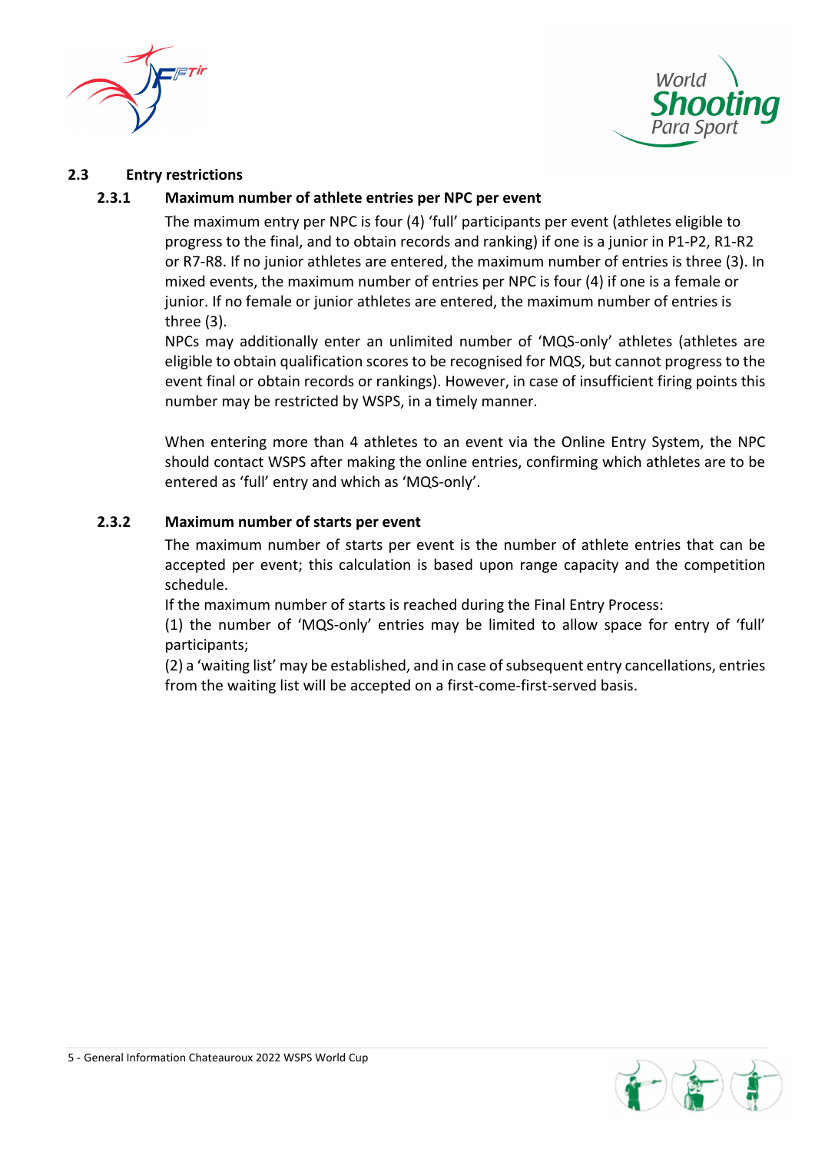



#### **2.3 Entry restrictions**

#### **2.3.1 Maximum number of athlete entries per NPC per event**

The maximum entry per NPC is four (4) 'full' participants per event (athletes eligible to progress to the final, and to obtain records and ranking) if one is a junior in P1‐P2, R1‐R2 or R7‐R8. If no junior athletes are entered, the maximum number of entries is three (3). In mixed events, the maximum number of entries per NPC is four (4) if one is a female or junior. If no female or junior athletes are entered, the maximum number of entries is three (3).

NPCs may additionally enter an unlimited number of 'MQS‐only' athletes (athletes are eligible to obtain qualification scores to be recognised for MQS, but cannot progress to the event final or obtain records or rankings). However, in case of insufficient firing points this number may be restricted by WSPS, in a timely manner.

When entering more than 4 athletes to an event via the Online Entry System, the NPC should contact WSPS after making the online entries, confirming which athletes are to be entered as 'full' entry and which as 'MQS‐only'.

#### **2.3.2 Maximum number of starts per event**

The maximum number of starts per event is the number of athlete entries that can be accepted per event; this calculation is based upon range capacity and the competition schedule.

If the maximum number of starts is reached during the Final Entry Process:

(1) the number of 'MQS‐only' entries may be limited to allow space for entry of 'full' participants;

(2) a 'waiting list' may be established, and in case of subsequent entry cancellations, entries from the waiting list will be accepted on a first-come-first-served basis.

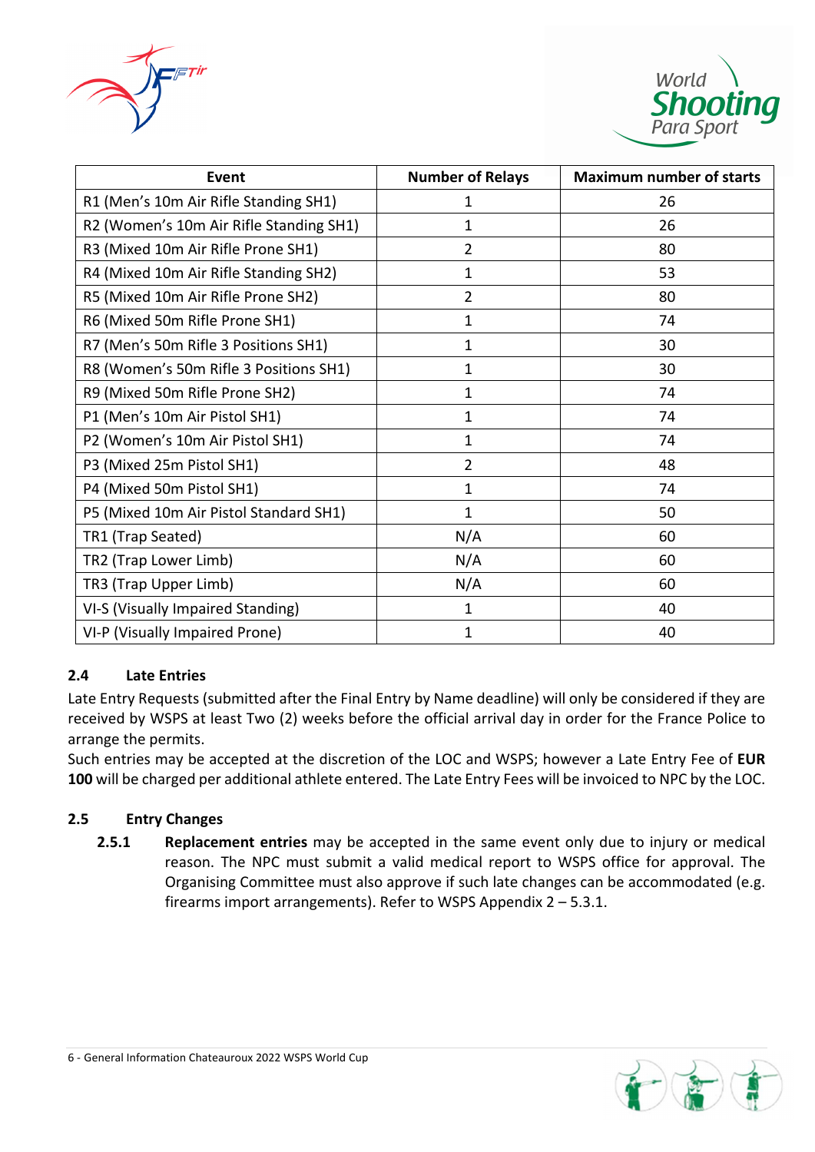



| <b>Event</b>                            | <b>Number of Relays</b> | <b>Maximum number of starts</b> |
|-----------------------------------------|-------------------------|---------------------------------|
| R1 (Men's 10m Air Rifle Standing SH1)   | 1                       | 26                              |
| R2 (Women's 10m Air Rifle Standing SH1) | 1                       | 26                              |
| R3 (Mixed 10m Air Rifle Prone SH1)      | 2                       | 80                              |
| R4 (Mixed 10m Air Rifle Standing SH2)   | 1                       | 53                              |
| R5 (Mixed 10m Air Rifle Prone SH2)      | $\overline{2}$          | 80                              |
| R6 (Mixed 50m Rifle Prone SH1)          | 1                       | 74                              |
| R7 (Men's 50m Rifle 3 Positions SH1)    | 1                       | 30                              |
| R8 (Women's 50m Rifle 3 Positions SH1)  | 1                       | 30                              |
| R9 (Mixed 50m Rifle Prone SH2)          | 1                       | 74                              |
| P1 (Men's 10m Air Pistol SH1)           | 1                       | 74                              |
| P2 (Women's 10m Air Pistol SH1)         | 1                       | 74                              |
| P3 (Mixed 25m Pistol SH1)               | $\overline{2}$          | 48                              |
| P4 (Mixed 50m Pistol SH1)               | 1                       | 74                              |
| P5 (Mixed 10m Air Pistol Standard SH1)  | 1                       | 50                              |
| TR1 (Trap Seated)                       | N/A                     | 60                              |
| TR2 (Trap Lower Limb)                   | N/A                     | 60                              |
| TR3 (Trap Upper Limb)                   | N/A                     | 60                              |
| VI-S (Visually Impaired Standing)       | 1                       | 40                              |
| VI-P (Visually Impaired Prone)          | 1                       | 40                              |

### **2.4 Late Entries**

Late Entry Requests (submitted after the Final Entry by Name deadline) will only be considered if they are received by WSPS at least Two (2) weeks before the official arrival day in order for the France Police to arrange the permits.

Such entries may be accepted at the discretion of the LOC and WSPS; however a Late Entry Fee of **EUR 100** will be charged per additional athlete entered. The Late Entry Fees will be invoiced to NPC by the LOC.

## **2.5 Entry Changes**

**2.5.1 Replacement entries** may be accepted in the same event only due to injury or medical reason. The NPC must submit a valid medical report to WSPS office for approval. The Organising Committee must also approve if such late changes can be accommodated (e.g. firearms import arrangements). Refer to WSPS Appendix 2 – 5.3.1.

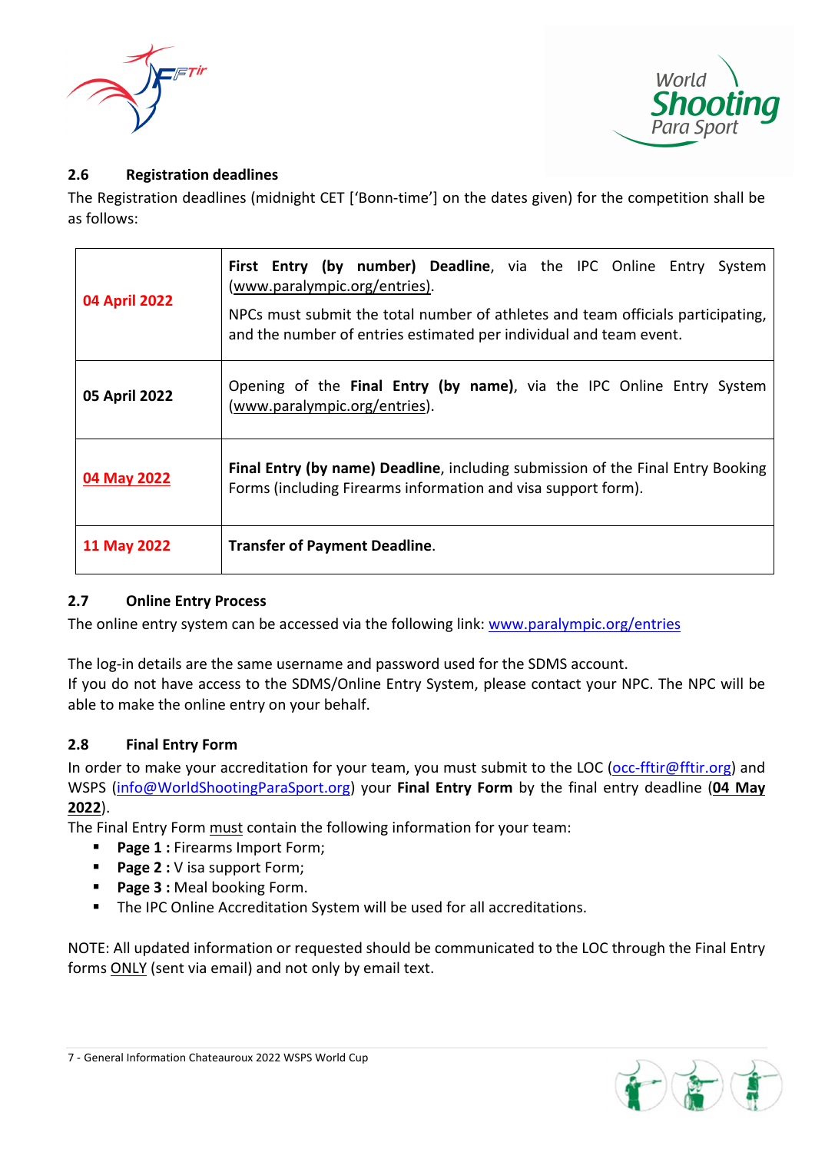



## **2.6 Registration deadlines**

The Registration deadlines (midnight CET ['Bonn-time'] on the dates given) for the competition shall be as follows:

| 04 April 2022 | First Entry (by number) Deadline, via the IPC Online Entry System<br>(www.paralympic.org/entries).<br>NPCs must submit the total number of athletes and team officials participating,<br>and the number of entries estimated per individual and team event. |  |
|---------------|-------------------------------------------------------------------------------------------------------------------------------------------------------------------------------------------------------------------------------------------------------------|--|
| 05 April 2022 | Opening of the Final Entry (by name), via the IPC Online Entry System<br>(www.paralympic.org/entries).                                                                                                                                                      |  |
| 04 May 2022   | <b>Final Entry (by name) Deadline, including submission of the Final Entry Booking</b><br>Forms (including Firearms information and visa support form).                                                                                                     |  |
| 11 May 2022   | <b>Transfer of Payment Deadline.</b>                                                                                                                                                                                                                        |  |

### **2.7 Online Entry Process**

The online entry system can be accessed via the following link: www.paralympic.org/entries

The log-in details are the same username and password used for the SDMS account. If you do not have access to the SDMS/Online Entry System, please contact your NPC. The NPC will be able to make the online entry on your behalf.

### **2.8 Final Entry Form**

In order to make your accreditation for your team, you must submit to the LOC (occ-fftir@fftir.org) and WSPS (info@WorldShootingParaSport.org) your **Final Entry Form** by the final entry deadline (**04 May 2022**).

The Final Entry Form must contain the following information for your team:

- **Page 1 :** Firearms Import Form;
- **Page 2 :** V isa support Form;
- **Page 3 :** Meal booking Form.
- **The IPC Online Accreditation System will be used for all accreditations.**

NOTE: All updated information or requested should be communicated to the LOC through the Final Entry forms ONLY (sent via email) and not only by email text.

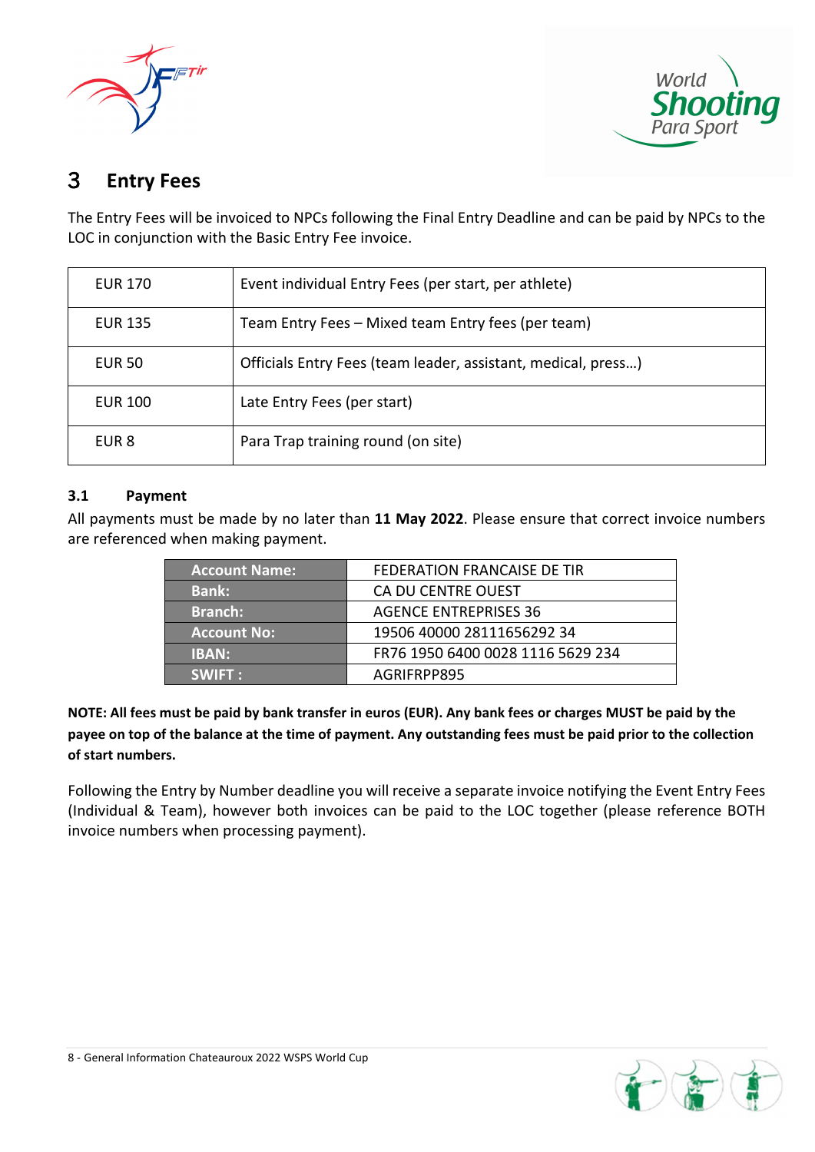



# 3 **Entry Fees**

The Entry Fees will be invoiced to NPCs following the Final Entry Deadline and can be paid by NPCs to the LOC in conjunction with the Basic Entry Fee invoice.

| <b>EUR 170</b> | Event individual Entry Fees (per start, per athlete)          |
|----------------|---------------------------------------------------------------|
| <b>EUR 135</b> | Team Entry Fees - Mixed team Entry fees (per team)            |
| <b>EUR 50</b>  | Officials Entry Fees (team leader, assistant, medical, press) |
| <b>EUR 100</b> | Late Entry Fees (per start)                                   |
| EUR 8          | Para Trap training round (on site)                            |

### **3.1 Payment**

All payments must be made by no later than **11 May 2022**. Please ensure that correct invoice numbers are referenced when making payment.

| <b>Account Name:</b> | FEDERATION FRANCAISE DE TIR       |
|----------------------|-----------------------------------|
| <b>Bank:</b>         | CA DU CENTRE OUEST                |
| <b>Branch:</b>       | <b>AGENCE ENTREPRISES 36</b>      |
| <b>Account No:</b>   | 19506 40000 28111656292 34        |
| <b>IBAN:</b>         | FR76 1950 6400 0028 1116 5629 234 |
| <b>SWIFT:</b>        | AGRIFRPP895                       |

NOTE: All fees must be paid by bank transfer in euros (EUR). Any bank fees or charges MUST be paid by the payee on top of the balance at the time of payment. Any outstanding fees must be paid prior to the collection **of start numbers.**

Following the Entry by Number deadline you will receive a separate invoice notifying the Event Entry Fees (Individual & Team), however both invoices can be paid to the LOC together (please reference BOTH invoice numbers when processing payment).

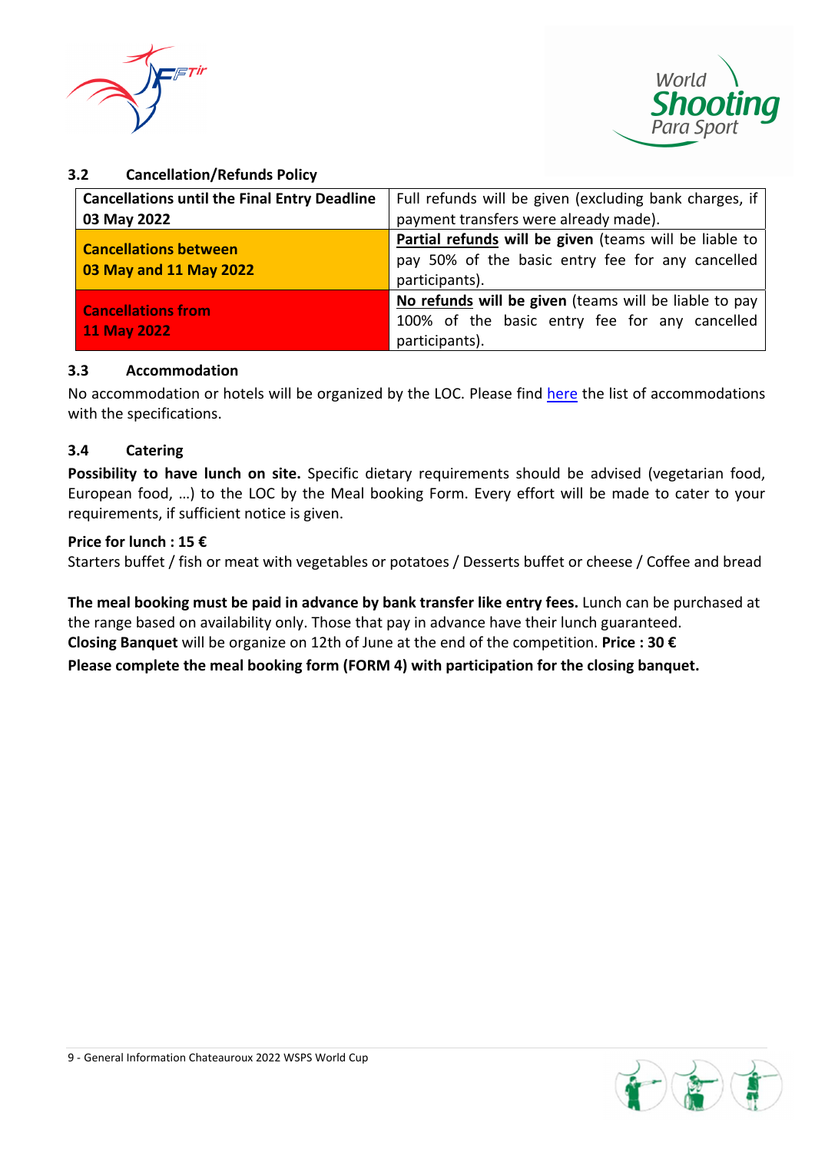



### **3.2 Cancellation/Refunds Policy**

| <b>Cancellations until the Final Entry Deadline</b>    | Full refunds will be given (excluding bank charges, if                                                                       |  |  |
|--------------------------------------------------------|------------------------------------------------------------------------------------------------------------------------------|--|--|
| 03 May 2022                                            | payment transfers were already made).                                                                                        |  |  |
| <b>Cancellations between</b><br>03 May and 11 May 2022 | Partial refunds will be given (teams will be liable to<br>pay 50% of the basic entry fee for any cancelled<br>participants). |  |  |
| <b>Cancellations from</b><br><b>11 May 2022</b>        | No refunds will be given (teams will be liable to pay<br>100% of the basic entry fee for any cancelled<br>participants).     |  |  |

### **3.3 Accommodation**

No accommodation or hotels will be organized by the LOC. Please find here the list of accommodations with the specifications.

### **3.4 Catering**

**Possibility to have lunch on site.** Specific dietary requirements should be advised (vegetarian food, European food, …) to the LOC by the Meal booking Form. Every effort will be made to cater to your requirements, if sufficient notice is given.

#### **Price for lunch : 15 €**

Starters buffet / fish or meat with vegetables or potatoes / Desserts buffet or cheese / Coffee and bread

**The meal booking must be paid in advance by bank transfer like entry fees.** Lunch can be purchased at the range based on availability only. Those that pay in advance have their lunch guaranteed. **Closing Banquet** will be organize on 12th of June at the end of the competition. **Price : 30 € Please complete the meal booking form (FORM 4) with participation for the closing banquet.**

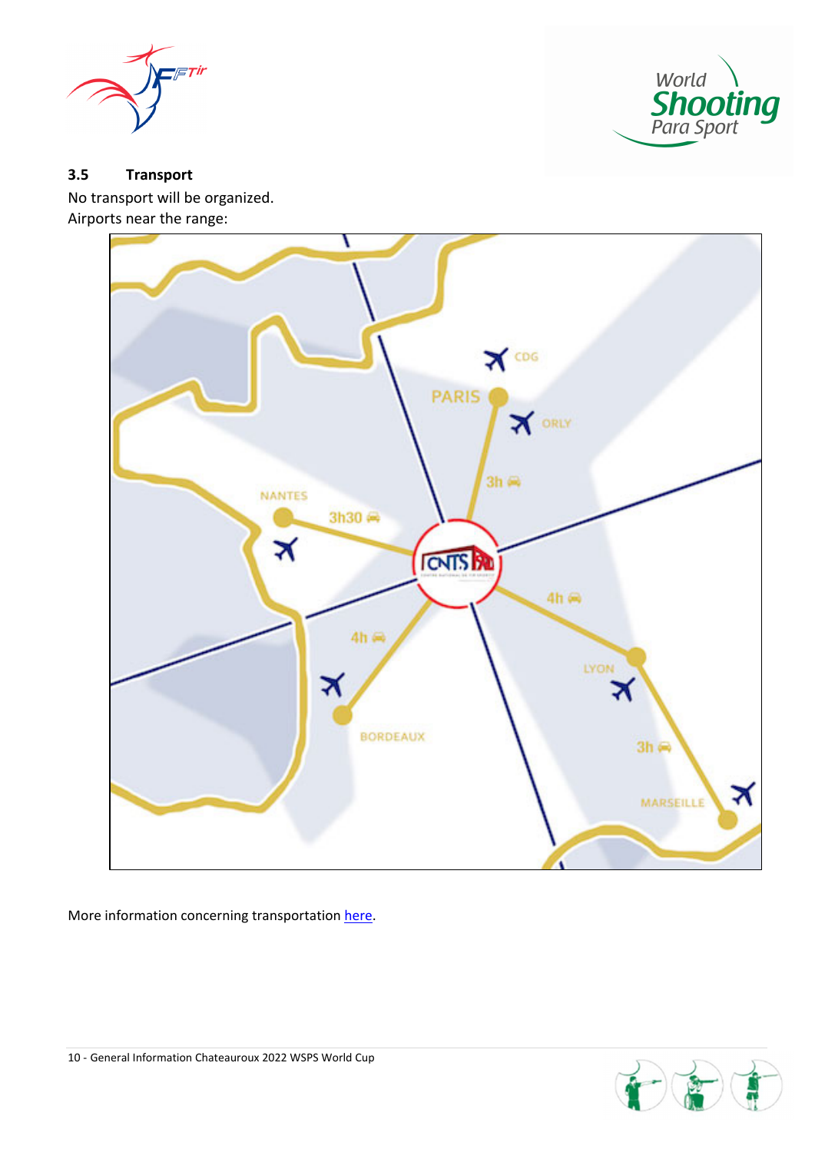



## **3.5 Transport**

No transport will be organized. Airports near the range:



More information concerning transportation here.

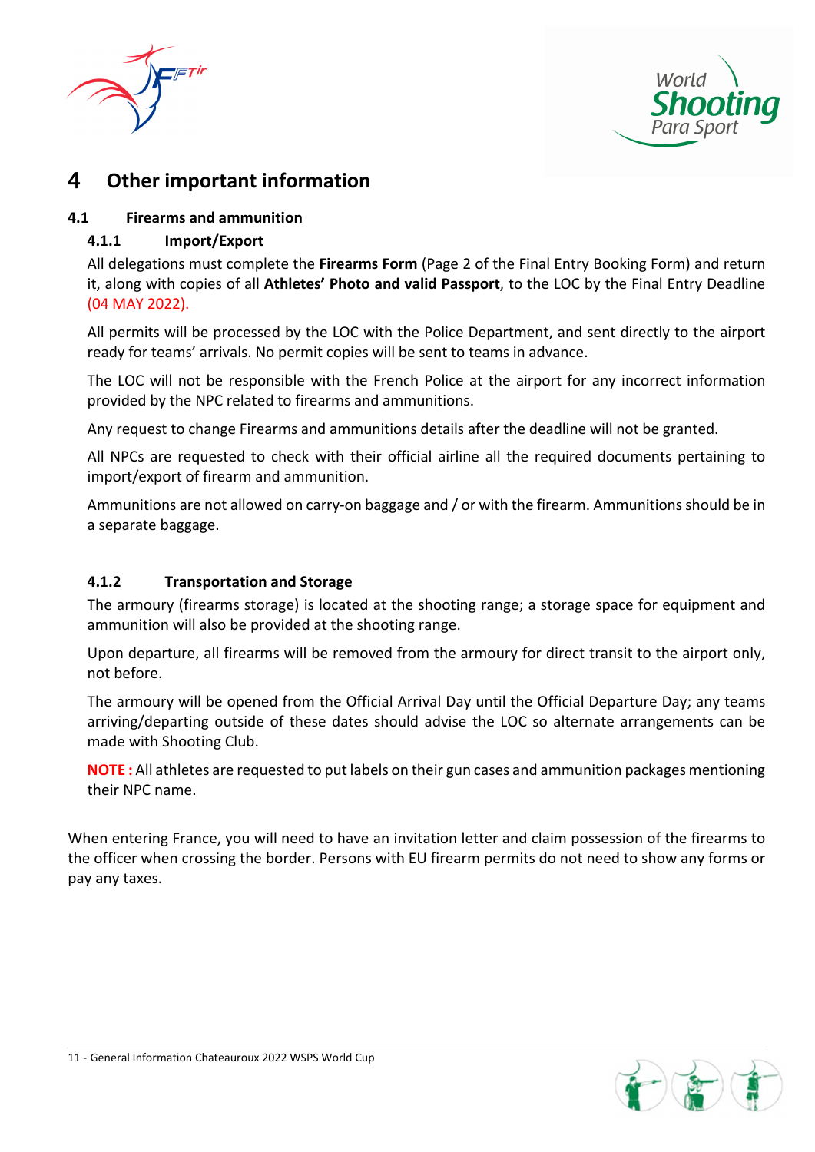



## 4 **Other important information**

## **4.1 Firearms and ammunition**

## **4.1.1 Import/Export**

All delegations must complete the **Firearms Form** (Page 2 of the Final Entry Booking Form) and return it, along with copies of all **Athletes' Photo and valid Passport**, to the LOC by the Final Entry Deadline (04 MAY 2022).

All permits will be processed by the LOC with the Police Department, and sent directly to the airport ready for teams' arrivals. No permit copies will be sent to teams in advance.

The LOC will not be responsible with the French Police at the airport for any incorrect information provided by the NPC related to firearms and ammunitions.

Any request to change Firearms and ammunitions details after the deadline will not be granted.

All NPCs are requested to check with their official airline all the required documents pertaining to import/export of firearm and ammunition.

Ammunitions are not allowed on carry-on baggage and / or with the firearm. Ammunitions should be in a separate baggage.

### **4.1.2 Transportation and Storage**

The armoury (firearms storage) is located at the shooting range; a storage space for equipment and ammunition will also be provided at the shooting range.

Upon departure, all firearms will be removed from the armoury for direct transit to the airport only, not before.

The armoury will be opened from the Official Arrival Day until the Official Departure Day; any teams arriving/departing outside of these dates should advise the LOC so alternate arrangements can be made with Shooting Club.

**NOTE :** All athletes are requested to put labels on their gun cases and ammunition packages mentioning their NPC name.

When entering France, you will need to have an invitation letter and claim possession of the firearms to the officer when crossing the border. Persons with EU firearm permits do not need to show any forms or pay any taxes.

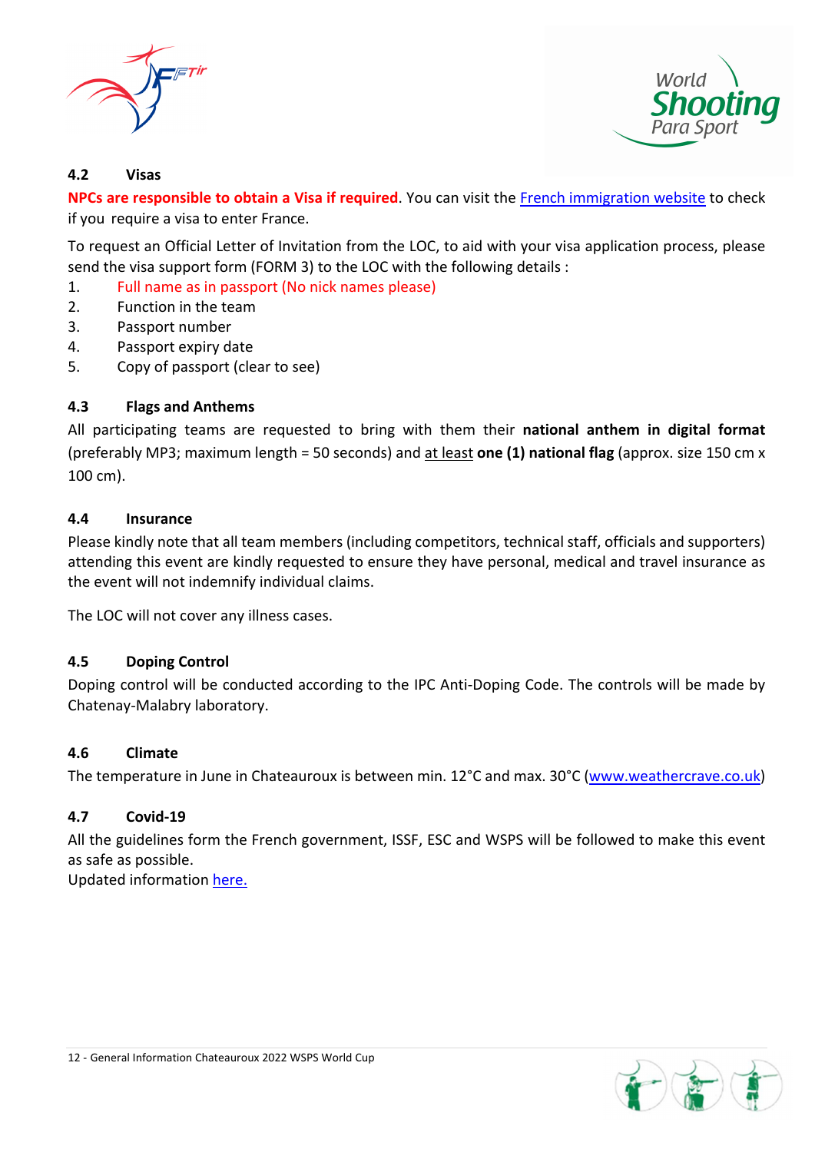



### **4.2 Visas**

**NPCs are responsible to obtain a Visa if required**. You can visit the French immigration website to check if you require a visa to enter France.

To request an Official Letter of Invitation from the LOC, to aid with your visa application process, please send the visa support form (FORM 3) to the LOC with the following details :

- 1. Full name as in passport (No nick names please)
- 2. Function in the team
- 3. Passport number
- 4. Passport expiry date
- 5. Copy of passport (clear to see)

### **4.3 Flags and Anthems**

All participating teams are requested to bring with them their **national anthem in digital format** (preferably MP3; maximum length = 50 seconds) and at least **one (1) national flag** (approx. size 150 cm x 100 cm).

#### **4.4 Insurance**

Please kindly note that all team members (including competitors, technical staff, officials and supporters) attending this event are kindly requested to ensure they have personal, medical and travel insurance as the event will not indemnify individual claims.

The LOC will not cover any illness cases.

#### **4.5 Doping Control**

Doping control will be conducted according to the IPC Anti-Doping Code. The controls will be made by Chatenay‐Malabry laboratory.

#### **4.6 Climate**

The temperature in June in Chateauroux is between min. 12°C and max. 30°C (www.weathercrave.co.uk)

### **4.7 Covid‐19**

All the guidelines form the French government, ISSF, ESC and WSPS will be followed to make this event as safe as possible.

Updated information here.